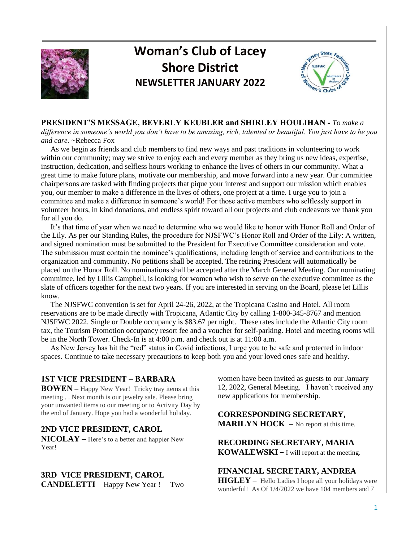

# **Woman's Club of Lacey Shore District NEWSLETTER JANUARY 2022**



**PRESIDENT'S MESSAGE, BEVERLY KEUBLER and SHIRLEY HOULIHAN -** *To make a* 

*difference in someone's world you don't have to be amazing, rich, talented or beautiful. You just have to be you and care.* ~Rebecca Fox

 As we begin as friends and club members to find new ways and past traditions in volunteering to work within our community; may we strive to enjoy each and every member as they bring us new ideas, expertise, instruction, dedication, and selfless hours working to enhance the lives of others in our community. What a great time to make future plans, motivate our membership, and move forward into a new year. Our committee chairpersons are tasked with finding projects that pique your interest and support our mission which enables you, our member to make a difference in the lives of others, one project at a time. I urge you to join a committee and make a difference in someone's world! For those active members who selflessly support in volunteer hours, in kind donations, and endless spirit toward all our projects and club endeavors we thank you for all you do.

 It's that time of year when we need to determine who we would like to honor with Honor Roll and Order of the Lily. As per our Standing Rules, the procedure for NJSFWC's Honor Roll and Order of the Lily: A written, and signed nomination must be submitted to the President for Executive Committee consideration and vote. The submission must contain the nominee's qualifications, including length of service and contributions to the organization and community. No petitions shall be accepted. The retiring President will automatically be placed on the Honor Roll. No nominations shall be accepted after the March General Meeting. Our nominating committee, led by Lillis Campbell, is looking for women who wish to serve on the executive committee as the slate of officers together for the next two years. If you are interested in serving on the Board, please let Lillis know.

 The NJSFWC convention is set for April 24-26, 2022, at the Tropicana Casino and Hotel. All room reservations are to be made directly with Tropicana, Atlantic City by calling 1-800-345-8767 and mention NJSFWC 2022. Single or Double occupancy is \$83.67 per night. These rates include the Atlantic City room tax, the Tourism Promotion occupancy resort fee and a voucher for self-parking. Hotel and meeting rooms will be in the North Tower. Check-In is at 4:00 p.m. and check out is at 11:00 a.m.

 As New Jersey has hit the "red" status in Covid infections, I urge you to be safe and protected in indoor spaces. Continue to take necessary precautions to keep both you and your loved ones safe and healthy.

# **1ST VICE PRESIDENT – BARBARA**

**BOWEN –** Happy New Year! Tricky tray items at this meeting . . Next month is our jewelry sale. Please bring your unwanted items to our meeting or to Activity Day by the end of January. Hope you had a wonderful holiday.

# **2ND VICE PRESIDENT, CAROL**

**NICOLAY –** Here's to a better and happier New Year!

# **3RD VICE PRESIDENT, CAROL**

**CANDELETTI** – Happy New Year ! Two

women have been invited as guests to our January 12, 2022, General Meeting. I haven't received any new applications for membership.

# **CORRESPONDING SECRETARY, MARILYN HOCK** – No report at this time.

**RECORDING SECRETARY, MARIA KOWALEWSKI –** I will report at the meeting.

**FINANCIAL SECRETARY, ANDREA HIGLEY** – Hello Ladies I hope all your holidays were wonderful! As Of 1/4/2022 we have 104 members and 7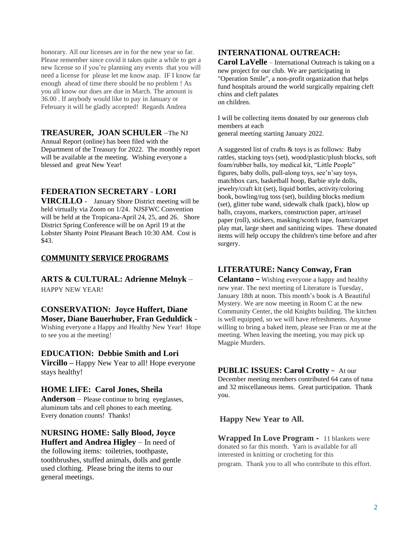honorary. All our licenses are in for the new year so far. Please remember since covid it takes quite a while to get a new license so if you're planning any events that you will need a license for please let me know asap. IF I know far enough ahead of time there should be no problem ! As you all know our dues are due in March. The amount is 36.00 . If anybody would like to pay in January or February it will be gladly accepted! Regards Andrea

#### **TREASURER, JOAN SCHULER** –The NJ

Annual Report (online) has been filed with the Department of the Treasury for 2022. The monthly report will be available at the meeting. Wishing everyone a blessed and great New Year!

# **FEDERATION SECRETARY** - **LORI**

**VIRCILLO -** January Shore District meeting will be held virtually via Zoom on 1/24. NJSFWC Convention will be held at the Tropicana-April 24, 25, and 26. Shore District Spring Conference will be on April 19 at the Lobster Shanty Point Pleasant Beach 10:30 AM. Cost is \$43.

#### **COMMUNITY SERVICE PROGRAMS**

#### **ARTS & CULTURAL: Adrienne Melnyk** –

HAPPY NEW YEAR!

# **CONSERVATION: Joyce Huffert, Diane Moser, Diane Bauerhuber, Fran Geduldick** -

Wishing everyone a Happy and Healthy New Year! Hope to see you at the meeting!

# **EDUCATION: Debbie Smith and Lori**

**Vircillo –** Happy New Year to all! Hope everyone stays healthy!

#### **HOME LIFE: Carol Jones, Sheila**

**Anderson** – Please continue to bring eyeglasses, aluminum tabs and cell phones to each meeting. Every donation counts! Thanks!

## **NURSING HOME: Sally Blood, Joyce Huffert and Andrea Higley** – In need of

the following items: toiletries, toothpaste, toothbrushes, stuffed animals, dolls and gentle used clothing. Please bring the items to our general meetings.

# **INTERNATIONAL OUTREACH:**

**Carol LaVelle** – International Outreach is taking on a new project for our club. We are participating in "Operation Smile", a non-profit organization that helps fund hospitals around the world surgically repairing cleft chins and cleft palates on children.

I will be collecting items donated by our generous club members at each general meeting starting January 2022.

A suggested list of crafts & toys is as follows: Baby rattles, stacking toys (set), wood/plastic/plush blocks, soft foam/rubber balls, toy medical kit, "Little People" figures, baby dolls, pull-along toys, see'n'say toys, matchbox cars, basketball hoop, Barbie style dolls, jewelry/craft kit (set), liquid bottles, activity/coloring book, bowling/rug toss (set), building blocks medium (set), glitter tube wand, sidewalk chalk (pack), blow up balls, crayons, markers, construction paper, art/easel paper (roll), stickers, masking/scotch tape, foam/carpet play mat, large sheet and sanitizing wipes. These donated items will help occupy the children's time before and after surgery.

# **LITERATURE: Nancy Conway, Fran**

**Celantano –** Wishing everyone a happy and healthy new year. The next meeting of Literature is Tuesday, January 18th at noon. This month's book is A Beautiful Mystery. We are now meeting in Room C at the new Community Center, the old Knights building. The kitchen is well equipped, so we will have refreshments. Anyone willing to bring a baked item, please see Fran or me at the meeting. When leaving the meeting, you may pick up Magpie Murders.

# **PUBLIC ISSUES: Carol Crotty** – At our

December meeting members contributed 64 cans of tuna and 32 miscellaneous items. Great participation. Thank you.

#### **Happy New Year to All.**

**Wrapped In Love Program -** 11 blankets were donated so far this month. Yarn is available for all interested in knitting or crocheting for this program. Thank you to all who contribute to this effort.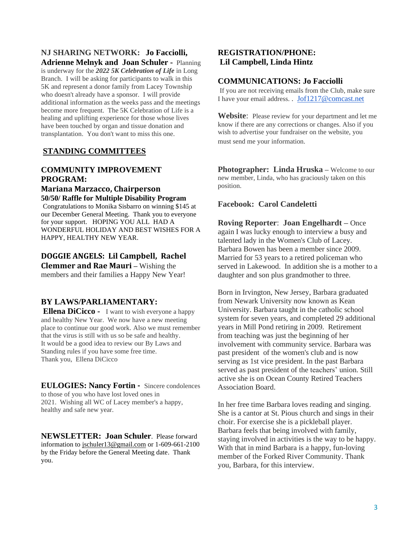#### **NJ SHARING NETWORK: Jo Facciolli, Adrienne Melnyk and Joan Schuler -** Planning

is underway for the *2022 5K Celebration of Life* in Long Branch. I will be asking for participants to walk in this 5K and represent a donor family from Lacey Township who doesn't already have a sponsor. I will provide additional information as the weeks pass and the meetings become more frequent. The 5K Celebration of Life is a healing and uplifting experience for those whose lives have been touched by organ and tissue donation and transplantation. You don't want to miss this one.

# **STANDING COMMITTEES**

#### **COMMUNITY IMPROVEMENT PROGRAM: Mariana Marzacco, Chairperson**

# **50/50/ Raffle for Multiple Disability Program**

Congratulations to Monika Sisbarro on winning \$145 at our December General Meeting. Thank you to everyone for your support. HOPING YOU ALL HAD A WONDERFUL HOLIDAY AND BEST WISHES FOR A HAPPY, HEALTHY NEW YEAR.

#### **DOGGIE ANGELS: Lil Campbell, Rachel Clemmer and Rae Mauri –** Wishing the

members and their families a Happy New Year!

# **BY LAWS/PARLIAMENTARY:**

**Ellena DiCicco -** I want to wish everyone a happy and healthy New Year. We now have a new meeting place to continue our good work. Also we must remember that the virus is still with us so be safe and healthy. It would be a good idea to review our By Laws and Standing rules if you have some free time. Thank you, Ellena DiCicco

**EULOGIES: Nancy Fortin -** Sincere condolences to those of you who have lost loved ones in 2021. Wishing all WC of Lacey member's a happy, healthy and safe new year.

**NEWSLETTER: Joan Schuler**. Please forward information to [jschuler13@gmail.com](mailto:jschuler13@gmail.com) or 1-609-661-2100 by the Friday before the General Meeting date. Thank you.

# **REGISTRATION/PHONE: Lil Campbell, Linda Hintz**

#### **COMMUNICATIONS: Jo Facciolli**

If you are not receiving emails from the Club, make sure I have your email address. . [Jof1217@comcast.net](mailto:Jof1217@comcast.net)

**Website**: Please review for your department and let me know if there are any corrections or changes. Also if you wish to advertise your fundraiser on the website, you must send me your information.

**Photographer: Linda Hruska** – Welcome to our new member, Linda, who has graciously taken on this position.

#### **Facebook: Carol Candeletti**

**Roving Reporter**: **Joan Engelhardt –** Once again I was lucky enough to interview a busy and talented lady in the Women's Club of Lacey. Barbara Bowen has been a member since 2009. Married for 53 years to a retired policeman who served in Lakewood. In addition she is a mother to a daughter and son plus grandmother to three.

Born in Irvington, New Jersey, Barbara graduated from Newark University now known as Kean University. Barbara taught in the catholic school system for seven years, and completed 29 additional years in Mill Pond retiring in 2009. Retirement from teaching was just the beginning of her involvement with community service. Barbara was past president of the women's club and is now serving as 1st vice president. In the past Barbara served as past president of the teachers' union. Still active she is on Ocean County Retired Teachers Association Board.

In her free time Barbara loves reading and singing. She is a cantor at St. Pious church and sings in their choir. For exercise she is a pickleball player. Barbara feels that being involved with family, staying involved in activities is the way to be happy. With that in mind Barbara is a happy, fun-loving member of the Forked River Community. Thank you, Barbara, for this interview.